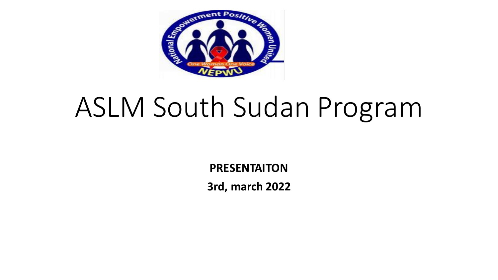

# ASLM South Sudan Program

**PRESENTAITON 3rd, march 2022**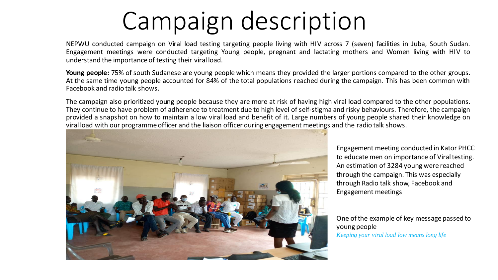## Campaign description

NEPWU conducted campaign on Viral load testing targeting people living with HIV across 7 (seven) facilities in Juba, South Sudan. Engagement meetings were conducted targeting Young people, pregnant and lactating mothers and Women living with HIV to understand the importance of testing their viral load.

**Young people:** 75% of south Sudanese are young people which means they provided the larger portions compared to the other groups. At the same time young people accounted for 84% of the total populations reached during the campaign. This has been common with Facebook and radio talk shows.

The campaign also prioritized young people because they are more at risk of having high viral load compared to the other populations. They continue to have problem of adherence to treatment due to high level of self-stigma and risky behaviours. Therefore, the campaign provided a snapshot on how to maintain a low viral load and benefit of it. Large numbers of young people shared their knowledge on viral load with our programme officer and the liaison officer during engagement meetings and the radio talk shows.



Engagement meeting conducted in Kator PHCC to educate men on importance of Viral testing. An estimation of 3284 young were reached through the campaign. This was especially through Radio talk show, Facebook and Engagement meetings

One of the example of key message passed to young people *Keeping your viral load low means long life*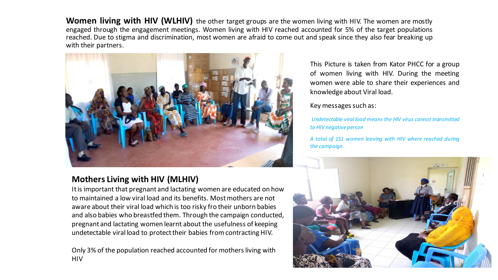**Women living with HIV (WLHIV)** the other target groups are the women living with HIV. The women are mostly engaged through the engagement meetings. Women living with HIV reached accounted for 5% of the target populations reached. Due to stigma and discrimination, most women are afraid to come out and speak since they also fear breaking up with their partners.



#### **Mothers Living with HIV (MLHIV)**

It is important that pregnant and lactating women are educated on how to maintained a low viral load and its benefits. Most mothers are not aware about their viral load which is too risky fro their unborn babies and also babies who breastfed them. Through the campaign conducted, pregnant and lactating women learnt about the usefulness of keeping undetectable viral load to protect their babies from contracting HIV.

Only 3% of the population reached accounted for mothers living with HIV

This Picture is taken from Kator PHCC for a group of women living with HIV. During the meeting women were able to share their experiences and knowledge about Viral load.

#### Key messages such as:

*Undetectable viral load means the HIV virus cannot transmitted to HIV negative person*

*A total of 151 women leaving with HIV where reached during the campaign.*

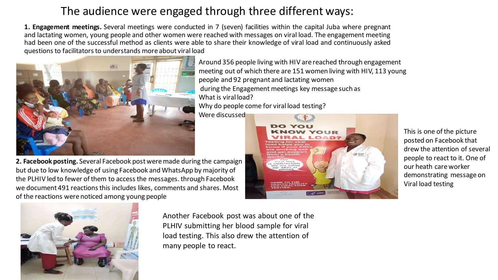## The audience were engaged through three different ways:

**1. Engagement meetings.** Several meetings were conducted in 7 (seven) facilities within the capital Juba where pregnant and lactating women, young people and other women were reached with messages on viral load. The engagement meeting had been one of the successful method as clients were able to share their knowledge of viral load and continuously asked questionsto facilitatorsto understands more about viral load



**2. Facebook posting.** Several Facebook post were made during the campaign but due to low knowledge of using Facebook and WhatsApp by majority of the PLHIV led to fewer of them to access the messages. through Facebook we document 491 reactions this includes likes, comments and shares. Most of the reactions were noticed among young people



Another Facebook post was about one of the PLHIV submitting her blood sample for viral load testing. This also drew the attention of many people to react.

meeting out of which there are 151 women living with HIV, 113 young people and 92 pregnant and lactating women during the Engagement meetings key message such as What is viral load? Why do people come for viral load testing? Were discussed



This is one of the picture posted on Facebook that drew the attention of several people to react to it. One of our heath care worker demonstrating message on Viral load testing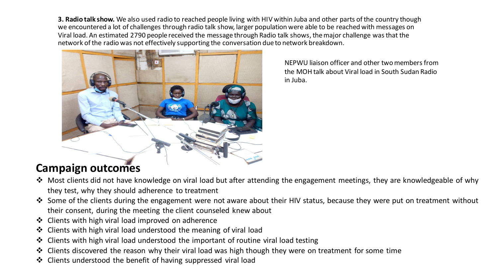**3. Radio talk show.** We also used radio to reached people living with HIV within Juba and other parts of the country though we encountered a lot of challenges through radio talk show, larger population were able to be reached with messages on Viral load. An estimated 2790 people received the message through Radio talk shows, the major challenge was that the network of the radio was not effectively supporting the conversation due to network breakdown.



NEPWU liaison officer and other two members from the MOH talk about Viral load in South Sudan Radio in Juba.

#### **Campaign outcomes**

- ❖ Most clients did not have knowledge on viral load but after attending the engagement meetings, they are knowledgeable of why they test, why they should adherence to treatment
- ❖ Some of the clients during the engagement were not aware about their HIV status, because they were put on treatment without their consent, during the meeting the client counseled knew about
- ❖ Clients with high viral load improved on adherence
- ❖ Clients with high viral load understood the meaning of viral load
- ❖ Clients with high viral load understood the important of routine viral load testing
- ❖ Clients discovered the reason why their viral load was high though they were on treatment for some time
- ❖ Clients understood the benefit of having suppressed viral load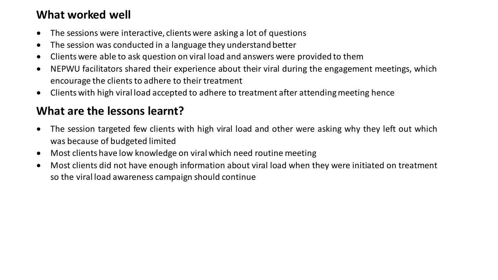#### **What worked well**

- The sessions were interactive, clients were asking a lot of questions
- The session was conducted in a language they understand better
- Clients were able to ask question on viral load and answers were provided to them
- NEPWU facilitators shared their experience about their viral during the engagement meetings, which encourage the clients to adhere to their treatment
- Clients with high viral load accepted to adhere to treatment after attending meeting hence

## **What are the lessons learnt?**

- The session targeted few clients with high viral load and other were asking why they left out which was because of budgeted limited
- Most clients have low knowledge on viral which need routine meeting
- Most clients did not have enough information about viral load when they were initiated on treatment so the viral load awareness campaign should continue